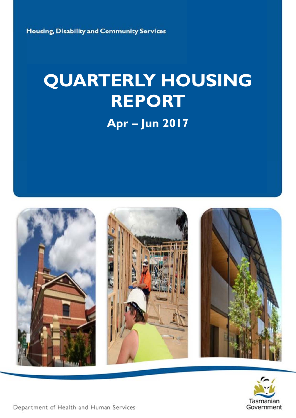Housing, Disability and Community Services

# **QUARTERLY HOUSING REPORT**

**Apr-Jun 2017** 





Department of Health and Human Services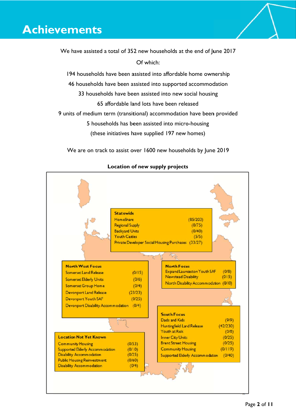# **Achievements**

We have assisted a total of 352 new households at the end of June 2017 Of which:

194 households have been assisted into affordable home ownership 46 households have been assisted into supported accommodation 33 households have been assisted into new social housing 65 affordable land lots have been released 9 units of medium term (transitional) accommodation have been provided 5 households has been assisted into micro-housing

We are on track to assist over 1600 new households by June 2019

(these initiatives have supplied 197 new homes)



# Location of new supply projects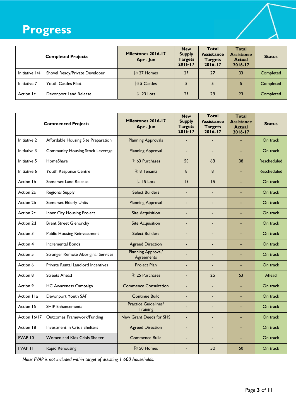# Progress

| <b>Completed Projects</b>                        | Milestones 2016-17<br>Apr - Jun | <b>New</b><br><b>Supply</b><br><b>Targets</b><br>$2016 - 17$ | Total<br><b>Assistance</b><br><b>Targets</b><br>$2016 - 17$ | <b>Total</b><br><b>Assistance</b><br><b>Actual</b><br>2016-17 | <b>Status</b> |  |
|--------------------------------------------------|---------------------------------|--------------------------------------------------------------|-------------------------------------------------------------|---------------------------------------------------------------|---------------|--|
| Initiative 1/4<br>Shovel Ready/Private Developer | <b>D</b> 27 Homes               | 27                                                           | 27                                                          | 33                                                            | Completed     |  |
| Initiative 7<br>Youth Castles Pilot              | 心 5 Castles                     |                                                              | 5                                                           |                                                               | Completed     |  |
| Devonport Land Release<br>Action Ic              | 心 23 Lots                       | 23                                                           | 23                                                          | 23                                                            | Completed     |  |

| <b>Commenced Projects</b> |                                      | Milestones 2016-17<br>Apr - Jun         | <b>New</b><br><b>Supply</b><br><b>Targets</b><br>2016-17 | <b>Total</b><br><b>Assistance</b><br><b>Targets</b><br>$2016 - 17$ | <b>Total</b><br><b>Assistance</b><br><b>Actual</b><br>$2016 - 17$ | <b>Status</b>      |
|---------------------------|--------------------------------------|-----------------------------------------|----------------------------------------------------------|--------------------------------------------------------------------|-------------------------------------------------------------------|--------------------|
| Initiative 2              | Affordable Housing Site Preparation  | <b>Planning Approvals</b>               | L,                                                       | $\blacksquare$                                                     |                                                                   | On track           |
| Initiative 3              | Community Housing Stock Leverage     | <b>Planning Approval</b>                | L,                                                       | ÷,                                                                 | ä,                                                                | On track           |
| Initiative 5              | HomeShare                            | <b>D</b> 63 Purchases                   | 50                                                       | 63                                                                 | 38                                                                | <b>Rescheduled</b> |
| Initiative 6              | Youth Response Centre                | D 8 Tenants                             | 8                                                        | 8                                                                  |                                                                   | <b>Rescheduled</b> |
| Action 1b                 | Somerset Land Release                | <sup>他</sup> 15 Lots                    | 15                                                       | 15                                                                 |                                                                   | On track           |
| Action 2a                 | Regional Supply                      | <b>Select Builders</b>                  | L.                                                       | L.                                                                 | ä,                                                                | On track           |
| Action 2b                 | <b>Somerset Elderly Units</b>        | <b>Planning Approval</b>                |                                                          | ÷,                                                                 |                                                                   | On track           |
| Action 2c                 | Inner City Housing Project           | <b>Site Acquisition</b>                 | ÷,                                                       | $\blacksquare$                                                     | ä,                                                                | On track           |
| Action 2d                 | <b>Brent Street Glenorchy</b>        | <b>Site Acquisition</b>                 | ÷,                                                       | ÷                                                                  |                                                                   | On track           |
| Action 3                  | <b>Public Housing Reinvestment</b>   | <b>Select Builders</b>                  | ÷,                                                       | ÷,                                                                 |                                                                   | On track           |
| Action 4                  | <b>Incremental Bonds</b>             | <b>Agreed Direction</b>                 |                                                          | ÷,                                                                 |                                                                   | On track           |
| Action 5                  | Stronger Remote Aboriginal Services  | Planning Approval/<br>Agreements        | $\overline{a}$                                           | ۳                                                                  |                                                                   | On track           |
| Action 6                  | Private Rental Landlord Incentives   | Project Plan                            | $\blacksquare$                                           | ٠                                                                  |                                                                   | On track           |
| Action 8                  | <b>Streets Ahead</b>                 | 他 25 Purchases                          | L.                                                       | 25                                                                 | 53                                                                | Ahead              |
| Action 9                  | <b>HC Awareness Campaign</b>         | <b>Commence Consultation</b>            |                                                          | Ē,                                                                 |                                                                   | On track           |
| Action IIa                | Devonport Youth SAF                  | <b>Continue Build</b>                   | ÷,                                                       | ÷,                                                                 | ٠                                                                 | On track           |
| Action 15                 | <b>SHIP Enhancements</b>             | <b>Practice Guidelines/</b><br>Training |                                                          | ÷                                                                  |                                                                   | On track           |
| Action 16/17              | <b>Outcomes Framework/Funding</b>    | New Grant Deeds for SHS                 | L,                                                       | Ē,                                                                 |                                                                   | On track           |
| Action 18                 | <b>Investment in Crisis Shelters</b> | <b>Agreed Direction</b>                 | $\overline{a}$                                           | ٠                                                                  |                                                                   | On track           |
| <b>FVAP 10</b>            | Women and Kids Crisis Shelter        | <b>Commence Build</b>                   | $\overline{a}$                                           | $\overline{a}$                                                     |                                                                   | On track           |
| <b>FVAP II</b>            | Rapid Rehousing                      | PJ 50 Homes                             |                                                          | 50                                                                 | 50                                                                | On track           |

Note: FVAP is not included within target of assisting 1 600 households.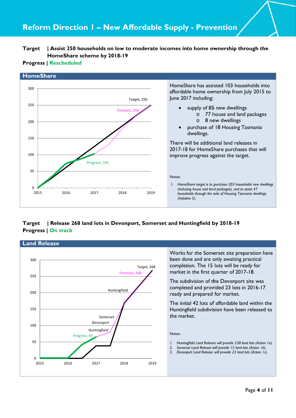#### **Ta arget | A Ho omeShare s scheme by 2018-19 Assist 250 h households on low to m moderate i incomes in to home ow wnership t hrough the e**

# **Progress | Rescheduled**



#### **Ta arget | R Pr rogress | O On track** In Devonport, Somerset and Huntingfield by 2018-19

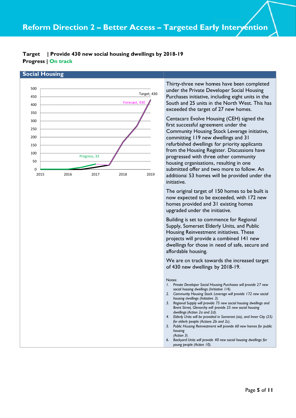#### **Ta arget | P Pr rogress | O On track** Provide 430 new social housing dwellings by 2018-19

# **Social Housing**



Thirty-three new homes have been completed under the Private Developer Social Housing Purchases initiative, including eight units in the Thirty-three new homes have been completed<br>under the Private Developer Social Housing<br>Purchases initiative, including eight units in the<br>South and 25 units in the North West. This has exceeded the target of 27 new homes.

Centacare Evolve Housing (CEH) signed the first successful agreement under the Community Housing Stock Leverage initiative, committing 119 new dwellings and 31 refurbished dwellings for priority applicants from the Housing Register. Discussions have progressed with three other community housing organisations, resulting in one submitted offer and two more to follow. An additional 53 homes will be provided under the initiative. **n**<br>ted is the has a<br>ve, e<br>the is w md d get new cial and get new cial and by (25)

The original target of 150 homes to be built is now expected to be exceeded, with 172 new homes provided and 31 existing homes upgraded under the initiative.

Building is set to commence for Regional Supply, Somerset Elderly Units, and Public Housing Reinvestment initiatives. These projects will provide a combined 141 new dwellings for those in need of safe, secure and affordable housing. is<br>/<br>et

We are on track towards the increased target of 430 ne w dwellings by 2018-19.

#### Notes:

- 1. Private Developer Social Housing Purchases will provide 27 new social housing dwellings (Initiative 1/4). *I.* Private Developer Social Housing Purchases will provide 27 new social housing dwellings (Initiative 1/4).<br>2. Community Housing Stock Leverage will provide 172 new social
- *housing d dwellings (Initiative 3).*
- 3. Regional Supply will provide 75 new social housing dwellings and Brent Street, Glenorchy will provide 25 new social housing *dwellings (Action 2a and 2d d).*
- 4. Elderly Units will be provided in Somerset (six), and Inner City (25) *for elderly people (Actions 2b and 2c).*
- 5. Public Housing Reinvestment will provide 60 new homes for public *housing (Action 3) ).*
- *6. Backyard Units will provide 40 new social hou using dwellings for* young people (Action 10).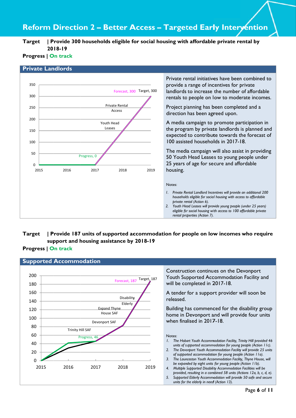# **Reform Direction 2 - Better Access - Targeted Early Intervention**

**Ta arget | P 20 18-19**  Provide 300 households eligible for social housing with affordable private rental by

# **Progress | On track**

### **Private Landlords**



Private rental initiatives have been combined to provide a range of incentives for private landlords to increase the number of affordable landlords to increase the number of affordable<br>rentals to people on low to moderate incomes.

Project planning has been completed and a direction has been agreed upon.

A media campaign to promote participation in A media campaign to promote participation in<br>the program by private landlords is planned and expected to contribute towards the forecast of 100 assisted households in 2017-18.

The media campaign will also assist in providing 50 Youth Head Leases to young people under 25 years of age for secure and affordable housing.

#### Notes:

- 1. Private Rental Landlord Incentives will provide an additional 200 *households eligible for social housing with access to affordable private rental (Action 6).*
- 2. Youth Head Leases will provide young people (under 25 years) *eligible for social housing with access to 100 affordable private* rental properties (Action 7).

#### **Ta arget | P Progress | On track sup pport and h housing ass sistance by 2018-19**  Provide 187 units of supported accommodation for people on low incomes who require

### **Supported Accommodation**

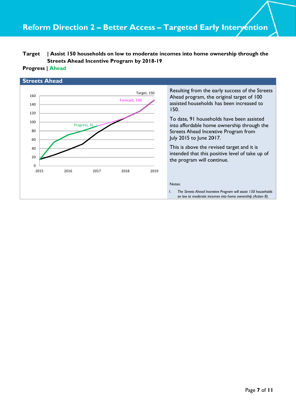#### **Ta arget | A** Streets Ahead Incentive Program by 2018-19 Assist 150 households on low to moderate incomes into home ownership through the

# **Pr rogress | A Ahead**

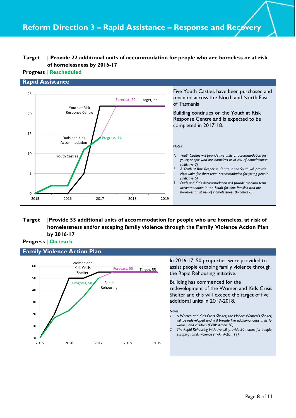#### **Target** | Provide 22 additional units of accommodation for people who are homeless or at risk of homelessness by 2016-17

#### **Progress | Rescheduled**



#### Provide 55 additional units of accommodation for people who are homeless, at risk of **Target** homelessness and/or escaping family violence through the Family Violence Action Plan by 2016-17

# **Progress | On track**

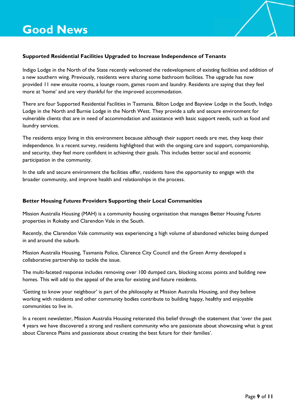

# Supported Residential Facilities Upgraded to Increase Independence of Tenants

Indigo Lodge in the North of the State recently welcomed the redevelopment of existing facilities and addition of a new southern wing. Previously, residents were sharing some bathroom facilities. The upgrade has now provided 11 new ensuite rooms, a lounge room, games room and laundry. Residents are saying that they feel more at 'home' and are very thankful for the improved accommodation.

There are four Supported Residential Facilities in Tasmania. Bilton Lodge and Bayview Lodge in the South, Indigo Lodge in the North and Burnie Lodge in the North West. They provide a safe and secure environment for vulnerable clients that are in need of accommodation and assistance with basic support needs, such as food and laundry services.

The residents enjoy living in this environment because although their support needs are met, they keep their independence. In a recent survey, residents highlighted that with the ongoing care and support, companionship, and security, they feel more confident in achieving their goals. This includes better social and economic participation in the community.

In the safe and secure environment the facilities offer, residents have the opportunity to engage with the broader community, and improve health and relationships in the process.

# Better Housing Futures Providers Supporting their Local Communities

Mission Australia Housing (MAH) is a community housing organisation that manages Better Housing Futures properties in Rokeby and Clarendon Vale in the South.

Recently, the Clarendon Vale community was experiencing a high volume of abandoned vehicles being dumped in and around the suburb.

Mission Australia Housing, Tasmania Police, Clarence City Council and the Green Army developed a collaborative partnership to tackle the issue.

The multi-faceted response includes removing over 100 dumped cars, blocking access points and building new homes. This will add to the appeal of the area for existing and future residents.

'Getting to know your neighbour' is part of the philosophy at Mission Australia Housing, and they believe working with residents and other community bodies contribute to building happy, healthy and enjoyable communities to live in.

In a recent newsletter, Mission Australia Housing reiterated this belief through the statement that 'over the past 4 years we have discovered a strong and resilient community who are passionate about showcasing what is great about Clarence Plains and passionate about creating the best future for their families'.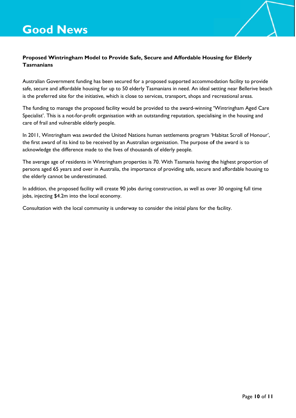

# Proposed Wintringham Model to Provide Safe, Secure and Affordable Housing for Elderly **Tasmanians**

Australian Government funding has been secured for a proposed supported accommodation facility to provide safe, secure and affordable housing for up to 50 elderly Tasmanians in need. An ideal setting near Bellerive beach is the preferred site for the initiative, which is close to services, transport, shops and recreational areas.

The funding to manage the proposed facility would be provided to the award-winning 'Wintringham Aged Care Specialist'. This is a not-for-profit organisation with an outstanding reputation, specialising in the housing and care of frail and vulnerable elderly people.

In 2011, Wintringham was awarded the United Nations human settlements program 'Habitat Scroll of Honour', the first award of its kind to be received by an Australian organisation. The purpose of the award is to acknowledge the difference made to the lives of thousands of elderly people.

The average age of residents in Wintringham properties is 70. With Tasmania having the highest proportion of persons aged 65 years and over in Australia, the importance of providing safe, secure and affordable housing to the elderly cannot be underestimated.

In addition, the proposed facility will create 90 jobs during construction, as well as over 30 ongoing full time jobs, injecting \$4.2m into the local economy.

Consultation with the local community is underway to consider the initial plans for the facility.